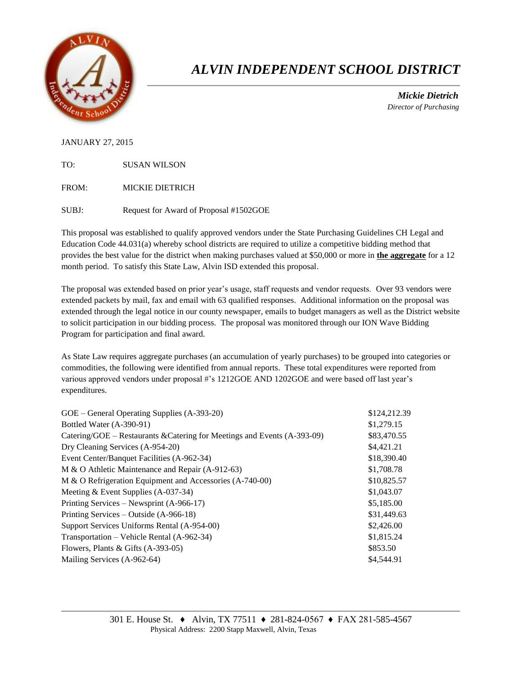

# *ALVIN INDEPENDENT SCHOOL DISTRICT*

 *Mickie Dietrich Director of Purchasing*

JANUARY 27, 2015

TO: SUSAN WILSON

FROM: MICKIE DIETRICH

SUBJ: Request for Award of Proposal #1502GOE

This proposal was established to qualify approved vendors under the State Purchasing Guidelines CH Legal and Education Code 44.031(a) whereby school districts are required to utilize a competitive bidding method that provides the best value for the district when making purchases valued at \$50,000 or more in **the aggregate** for a 12 month period. To satisfy this State Law, Alvin ISD extended this proposal.

The proposal was extended based on prior year's usage, staff requests and vendor requests. Over 93 vendors were extended packets by mail, fax and email with 63 qualified responses. Additional information on the proposal was extended through the legal notice in our county newspaper, emails to budget managers as well as the District website to solicit participation in our bidding process. The proposal was monitored through our ION Wave Bidding Program for participation and final award.

As State Law requires aggregate purchases (an accumulation of yearly purchases) to be grouped into categories or commodities, the following were identified from annual reports. These total expenditures were reported from various approved vendors under proposal #'s 1212GOE AND 1202GOE and were based off last year's expenditures.

| GOE – General Operating Supplies (A-393-20)                              | \$124,212.39 |
|--------------------------------------------------------------------------|--------------|
| Bottled Water (A-390-91)                                                 | \$1,279.15   |
| Catering/GOE – Restaurants & Catering for Meetings and Events (A-393-09) | \$83,470.55  |
| Dry Cleaning Services (A-954-20)                                         | \$4,421.21   |
| Event Center/Banquet Facilities (A-962-34)                               | \$18,390.40  |
| M & O Athletic Maintenance and Repair (A-912-63)                         | \$1,708.78   |
| M & O Refrigeration Equipment and Accessories (A-740-00)                 | \$10,825.57  |
| Meeting $&$ Event Supplies (A-037-34)                                    | \$1,043.07   |
| Printing Services – Newsprint (A-966-17)                                 | \$5,185.00   |
| Printing Services – Outside (A-966-18)                                   | \$31,449.63  |
| Support Services Uniforms Rental (A-954-00)                              | \$2,426.00   |
| Transportation – Vehicle Rental (A-962-34)                               | \$1,815.24   |
| Flowers, Plants & Gifts $(A-393-05)$                                     | \$853.50     |
| Mailing Services (A-962-64)                                              | \$4,544.91   |
|                                                                          |              |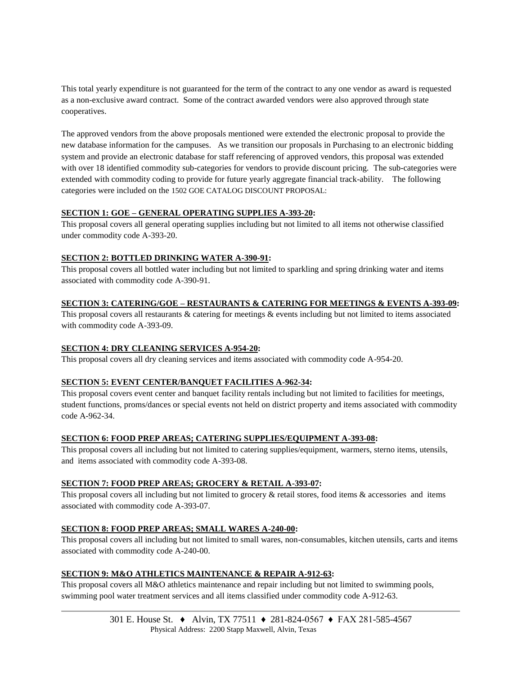This total yearly expenditure is not guaranteed for the term of the contract to any one vendor as award is requested as a non-exclusive award contract. Some of the contract awarded vendors were also approved through state cooperatives.

The approved vendors from the above proposals mentioned were extended the electronic proposal to provide the new database information for the campuses. As we transition our proposals in Purchasing to an electronic bidding system and provide an electronic database for staff referencing of approved vendors, this proposal was extended with over 18 identified commodity sub-categories for vendors to provide discount pricing. The sub-categories were extended with commodity coding to provide for future yearly aggregate financial track-ability. The following categories were included on the 1502 GOE CATALOG DISCOUNT PROPOSAL:

# **SECTION 1: GOE – GENERAL OPERATING SUPPLIES A-393-20:**

This proposal covers all general operating supplies including but not limited to all items not otherwise classified under commodity code A-393-20.

# **SECTION 2: BOTTLED DRINKING WATER A-390-91:**

This proposal covers all bottled water including but not limited to sparkling and spring drinking water and items associated with commodity code A-390-91.

# **SECTION 3: CATERING/GOE – RESTAURANTS & CATERING FOR MEETINGS & EVENTS A-393-09:**

This proposal covers all restaurants & catering for meetings & events including but not limited to items associated with commodity code A-393-09.

# **SECTION 4: DRY CLEANING SERVICES A-954-20:**

This proposal covers all dry cleaning services and items associated with commodity code A-954-20.

# **SECTION 5: EVENT CENTER/BANQUET FACILITIES A-962-34:**

This proposal covers event center and banquet facility rentals including but not limited to facilities for meetings, student functions, proms/dances or special events not held on district property and items associated with commodity code A-962-34.

# **SECTION 6: FOOD PREP AREAS; CATERING SUPPLIES/EQUIPMENT A-393-08:**

This proposal covers all including but not limited to catering supplies/equipment, warmers, sterno items, utensils, and items associated with commodity code A-393-08.

# **SECTION 7: FOOD PREP AREAS; GROCERY & RETAIL A-393-07:**

This proposal covers all including but not limited to grocery  $\&$  retail stores, food items  $\&$  accessories and items associated with commodity code A-393-07.

# **SECTION 8: FOOD PREP AREAS; SMALL WARES A-240-00:**

This proposal covers all including but not limited to small wares, non-consumables, kitchen utensils, carts and items associated with commodity code A-240-00.

# **SECTION 9: M&O ATHLETICS MAINTENANCE & REPAIR A-912-63:**

This proposal covers all M&O athletics maintenance and repair including but not limited to swimming pools, swimming pool water treatment services and all items classified under commodity code A-912-63.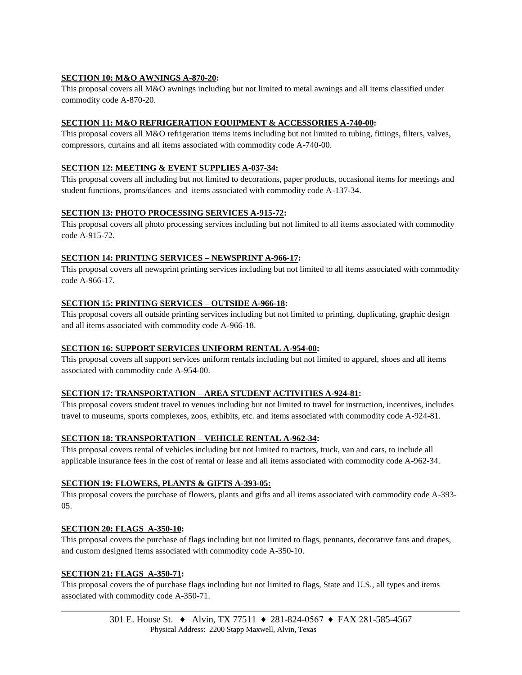# **SECTION 10: M&O AWNINGS A-870-20:**

This proposal covers all M&O awnings including but not limited to metal awnings and all items classified under commodity code A-870-20.

#### **SECTION 11: M&O REFRIGERATION EQUIPMENT & ACCESSORIES A-740-00:**

This proposal covers all M&O refrigeration items items including but not limited to tubing, fittings, filters, valves, compressors, curtains and all items associated with commodity code A-740-00.

#### **SECTION 12: MEETING & EVENT SUPPLIES A-037-34:**

This proposal covers all including but not limited to decorations, paper products, occasional items for meetings and student functions, proms/dances and items associated with commodity code A-137-34.

#### **SECTION 13: PHOTO PROCESSING SERVICES A-915-72:**

This proposal covers all photo processing services including but not limited to all items associated with commodity code A-915-72.

#### **SECTION 14: PRINTING SERVICES – NEWSPRINT A-966-17:**

This proposal covers all newsprint printing services including but not limited to all items associated with commodity code A-966-17.

#### **SECTION 15: PRINTING SERVICES – OUTSIDE A-966-18:**

This proposal covers all outside printing services including but not limited to printing, duplicating, graphic design and all items associated with commodity code A-966-18.

# **SECTION 16: SUPPORT SERVICES UNIFORM RENTAL A-954-00:**

This proposal covers all support services uniform rentals including but not limited to apparel, shoes and all items associated with commodity code A-954-00.

# **SECTION 17: TRANSPORTATION – AREA STUDENT ACTIVITIES A-924-81:**

This proposal covers student travel to venues including but not limited to travel for instruction, incentives, includes travel to museums, sports complexes, zoos, exhibits, etc. and items associated with commodity code A-924-81.

# **SECTION 18: TRANSPORTATION – VEHICLE RENTAL A-962-34:**

This proposal covers rental of vehicles including but not limited to tractors, truck, van and cars, to include all applicable insurance fees in the cost of rental or lease and all items associated with commodity code A-962-34.

#### **SECTION 19: FLOWERS, PLANTS & GIFTS A-393-05:**

This proposal covers the purchase of flowers, plants and gifts and all items associated with commodity code A-393- 05.

#### **SECTION 20: FLAGS A-350-10:**

This proposal covers the purchase of flags including but not limited to flags, pennants, decorative fans and drapes, and custom designed items associated with commodity code A-350-10.

#### **SECTION 21: FLAGS A-350-71:**

This proposal covers the of purchase flags including but not limited to flags, State and U.S., all types and items associated with commodity code A-350-71.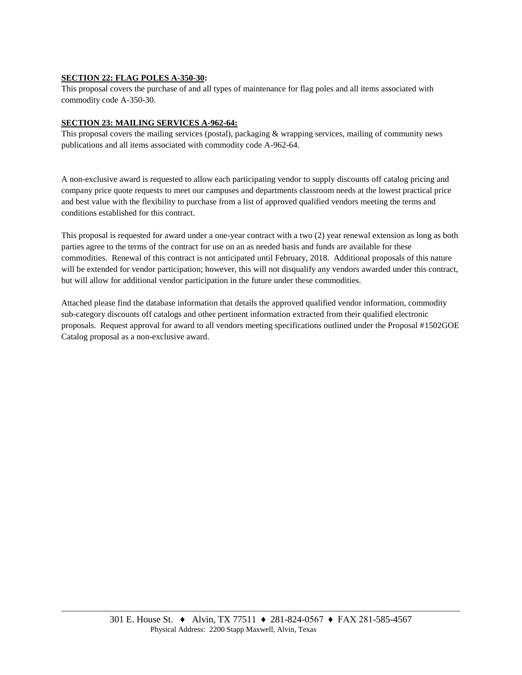# **SECTION 22: FLAG POLES A-350-30:**

This proposal covers the purchase of and all types of maintenance for flag poles and all items associated with commodity code A-350-30.

#### **SECTION 23: MAILING SERVICES A-962-64:**

This proposal covers the mailing services (postal), packaging & wrapping services, mailing of community news publications and all items associated with commodity code A-962-64.

A non-exclusive award is requested to allow each participating vendor to supply discounts off catalog pricing and company price quote requests to meet our campuses and departments classroom needs at the lowest practical price and best value with the flexibility to purchase from a list of approved qualified vendors meeting the terms and conditions established for this contract.

This proposal is requested for award under a one-year contract with a two (2) year renewal extension as long as both parties agree to the terms of the contract for use on an as needed basis and funds are available for these commodities. Renewal of this contract is not anticipated until February, 2018. Additional proposals of this nature will be extended for vendor participation; however, this will not disqualify any vendors awarded under this contract, but will allow for additional vendor participation in the future under these commodities.

Attached please find the database information that details the approved qualified vendor information, commodity sub-category discounts off catalogs and other pertinent information extracted from their qualified electronic proposals. Request approval for award to all vendors meeting specifications outlined under the Proposal #1502GOE Catalog proposal as a non-exclusive award.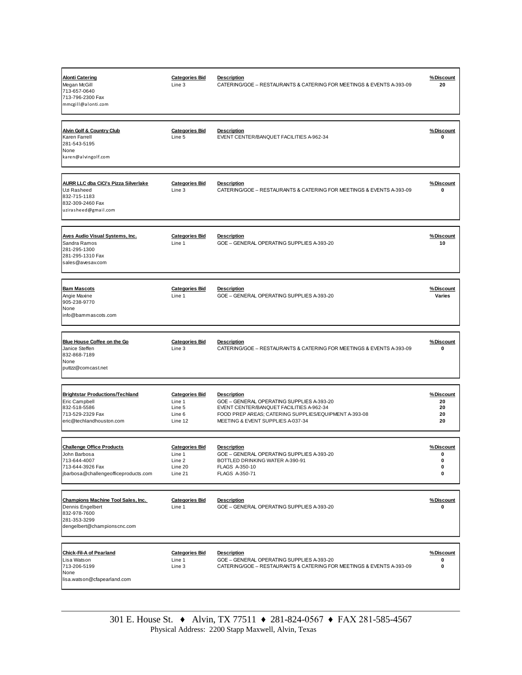| <b>Alonti Catering</b><br>Megan McGill<br>713-657-0640<br>713-796-2300 Fax<br>mmcgill@alonti.com                             | <b>Categories Bid</b><br>Line 3                                 | <b>Description</b><br>CATERING/GOE - RESTAURANTS & CATERING FOR MEETINGS & EVENTS A-393-09                                                                                                                | %Discount<br>20                   |
|------------------------------------------------------------------------------------------------------------------------------|-----------------------------------------------------------------|-----------------------------------------------------------------------------------------------------------------------------------------------------------------------------------------------------------|-----------------------------------|
| <b>Alvin Golf &amp; Country Club</b><br>Karen Farrell<br>281-543-5195<br>None<br>karen@alvingolf.com                         | <b>Categories Bid</b><br>Line 5                                 | <b>Description</b><br>EVENT CENTER/BANQUET FACILITIES A-962-34                                                                                                                                            | %Discount<br>0                    |
| <b>AURR LLC dba CiCi's Pizza Silverlake</b><br>Uzi Rasheed<br>832-715-1183<br>832-309-2460 Fax<br>uzirasheed@gmail.com       | <b>Categories Bid</b><br>Line 3                                 | <b>Description</b><br>CATERING/GOE - RESTAURANTS & CATERING FOR MEETINGS & EVENTS A-393-09                                                                                                                | %Discount<br>0                    |
| <b>Aves Audio Visual Systems, Inc.</b><br>Sandra Ramos<br>281-295-1300<br>281-295-1310 Fax<br>sales@avesav.com               | <b>Categories Bid</b><br>Line 1                                 | <b>Description</b><br>GOE - GENERAL OPERATING SUPPLIES A-393-20                                                                                                                                           | %Discount<br>10                   |
| <b>Bam Mascots</b><br>Angie Maxine<br>905-238-9770<br>None<br>info@bammascots.com                                            | <b>Categories Bid</b><br>Line 1                                 | <b>Description</b><br>GOE - GENERAL OPERATING SUPPLIES A-393-20                                                                                                                                           | %Discount<br>Varies               |
| Blue House Coffee on the Go<br>Janice Steffen<br>832-868-7189<br>None<br>puttzz@comcast.net                                  | <b>Categories Bid</b><br>Line 3                                 | <b>Description</b><br>CATERING/GOE - RESTAURANTS & CATERING FOR MEETINGS & EVENTS A-393-09                                                                                                                | %Discount<br>0                    |
| <b>Brightstar Productions/Techland</b><br>Eric Campbell<br>832-518-5586<br>713-529-2329 Fax<br>eric@techlandhouston.com      | <b>Categories Bid</b><br>Line 1<br>Line 5<br>Line 6<br>Line 12  | <b>Description</b><br>GOE - GENERAL OPERATING SUPPLIES A-393-20<br>EVENT CENTER/BANQUET FACILITIES A-962-34<br>FOOD PREP AREAS; CATERING SUPPLIES/EQUIPMENT A-393-08<br>MEETING & EVENT SUPPLIES A-037-34 | %Discount<br>20<br>20<br>20<br>20 |
| <b>Challenge Office Products</b><br>John Barbosa<br>713-644-4007<br>713-644-3926 Fax<br>jbarbosa@challengeofficeproducts.com | <b>Categories Bid</b><br>Line 1<br>Line 2<br>Line 20<br>Line 21 | <b>Description</b><br>GOE - GENERAL OPERATING SUPPLIES A-393-20<br>BOTTLED DRINKING WATER A-390-91<br>FLAGS A-350-10<br>FLAGS A-350-71                                                                    | %Discount<br>0<br>0<br>0<br>0     |
| <b>Champions Machine Tool Sales, Inc.</b><br>Dennis Engelbert<br>832-978-7600<br>281-353-3299<br>dengelbert@championscnc.com | <b>Categories Bid</b><br>Line 1                                 | <b>Description</b><br>GOE - GENERAL OPERATING SUPPLIES A-393-20                                                                                                                                           | %Discount<br>0                    |
| <b>Chick-Fil-A of Pearland</b><br>Lisa Watson<br>713-206-5199<br>None<br>lisa.watson@cfapearland.com                         | <b>Categories Bid</b><br>Line 1<br>Line 3                       | <b>Description</b><br>GOE - GENERAL OPERATING SUPPLIES A-393-20<br>CATERING/GOE - RESTAURANTS & CATERING FOR MEETINGS & EVENTS A-393-09                                                                   | %Discount<br>0<br>0               |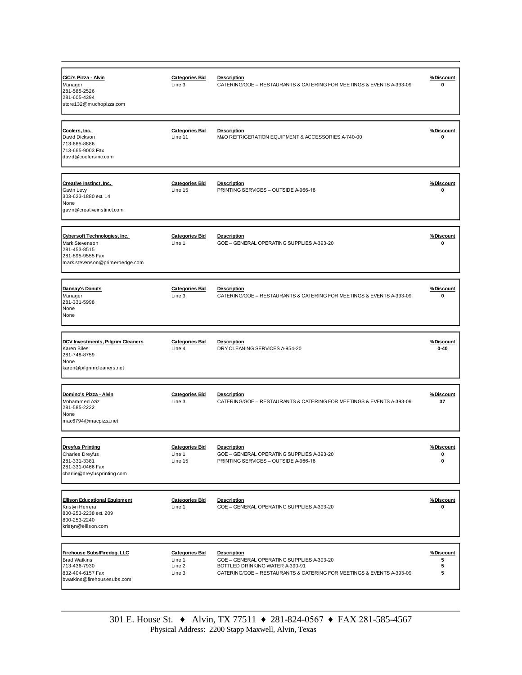| CiCi's Pizza - Alvin<br>Manager<br>281-585-2526<br>281-605-4394<br>store132@muchopizza.com                              | <b>Categories Bid</b><br>Line 3            | <b>Description</b><br>CATERING/GOE - RESTAURANTS & CATERING FOR MEETINGS & EVENTS A-393-09              | %Discount<br>0        |
|-------------------------------------------------------------------------------------------------------------------------|--------------------------------------------|---------------------------------------------------------------------------------------------------------|-----------------------|
| Coolers, Inc.<br>David Dickson<br>713-665-8886<br>713-665-9003 Fax<br>david@coolersinc.com                              | <b>Categories Bid</b><br>Line 11           | <b>Description</b><br>M&O REFRIGERATION EQUIPMENT & ACCESSORIES A-740-00                                | %Discount<br>0        |
| <b>Creative Instinct, Inc.</b><br>Gavin Levy<br>303-623-1880 ext. 14<br>None<br>gavin@creativeinstinct.com              | <b>Categories Bid</b><br>Line 15           | <b>Description</b><br>PRINTING SERVICES - OUTSIDE A-966-18                                              | %Discount<br>0        |
| Cybersoft Technologies, Inc.<br>Mark Stevenson<br>281-453-8515<br>281-895-9555 Fax<br>mark.stevenson@primeroedge.com    | <b>Categories Bid</b><br>Line 1            | <b>Description</b><br>GOE - GENERAL OPERATING SUPPLIES A-393-20                                         | %Discount<br>0        |
| Dannay's Donuts<br>Manager<br>281-331-5998<br>None<br>None                                                              | <b>Categories Bid</b><br>Line 3            | <b>Description</b><br>CATERING/GOE - RESTAURANTS & CATERING FOR MEETINGS & EVENTS A-393-09              | %Discount<br>0        |
| <b>DCV Investments, Pilgrim Cleaners</b><br>Karen Biles<br>281-748-8759<br>None<br>karen@pilgrimcleaners.net            | <b>Categories Bid</b><br>Line 4            | <b>Description</b><br>DRY CLEANING SERVICES A-954-20                                                    | %Discount<br>$0 - 40$ |
|                                                                                                                         |                                            |                                                                                                         |                       |
| Domino's Pizza - Alvin<br>Mohammed Aziz<br>281-585-2222<br>None<br>mac6794@macpizza.net                                 | <b>Categories Bid</b><br>Line 3            | <b>Description</b><br>CATERING/GOE - RESTAURANTS & CATERING FOR MEETINGS & EVENTS A-393-09              | %Discount<br>37       |
| <b>Dreyfus Printing</b><br>Charles Dreyfus<br>281-331-3381<br>281-331-0466 Fax<br>charlie@dreyfusprinting.com           | <b>Categories Bid</b><br>Line 1<br>Line 15 | <b>Description</b><br>GOE - GENERAL OPERATING SUPPLIES A-393-20<br>PRINTING SERVICES - OUTSIDE A-966-18 | % Discount<br>0<br>0  |
| <b>Ellison Educational Equipment</b><br>Kristyn Herrera<br>800-253-2238 ext. 209<br>800-253-2240<br>kristyn@ellison.com | <b>Categories Bid</b><br>Line 1            | <b>Description</b><br>GOE - GENERAL OPERATING SUPPLIES A-393-20                                         | %Discount<br>0        |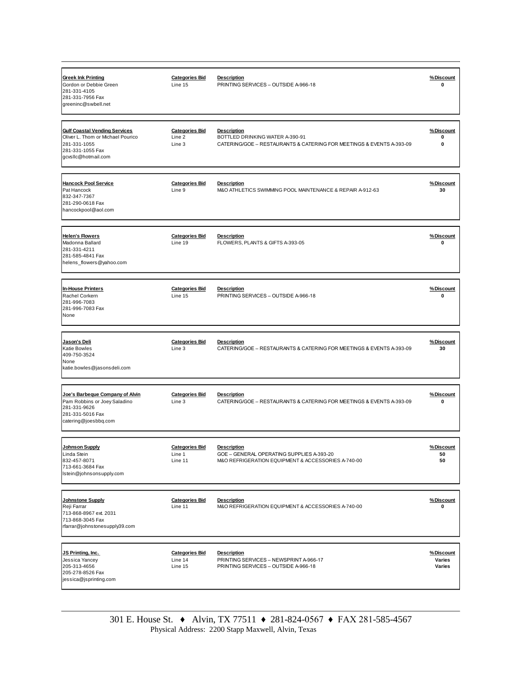| <b>Greek Ink Printing</b><br>Gordon or Debbie Green<br>281-331-4105<br>281-331-7956 Fax<br>greeninc@swbell.net                       | <b>Categories Bid</b><br>Line 15            | <b>Description</b><br>PRINTING SERVICES - OUTSIDE A-966-18                                                                    | %Discount<br>0                |
|--------------------------------------------------------------------------------------------------------------------------------------|---------------------------------------------|-------------------------------------------------------------------------------------------------------------------------------|-------------------------------|
| <b>Gulf Coastal Vending Services</b><br>Oliver L. Thom or Michael Pourico<br>281-331-1055<br>281-331-1055 Fax<br>qcvsllc@hotmail.com | <b>Categories Bid</b><br>Line 2<br>Line 3   | <b>Description</b><br>BOTTLED DRINKING WATER A-390-91<br>CATERING/GOE - RESTAURANTS & CATERING FOR MEETINGS & EVENTS A-393-09 | %Discount<br>0<br>0           |
| <b>Hancock Pool Service</b><br>Pat Hancock<br>832-347-7367<br>281-290-0618 Fax<br>hancockpool@aol.com                                | <b>Categories Bid</b><br>Line 9             | <b>Description</b><br>M&O ATHLETICS SWIMMING POOL MAINTENANCE & REPAIR A-912-63                                               | %Discount<br>30               |
| <b>Helen's Flowers</b><br>Madonna Ballard<br>281-331-4211<br>281-585-4841 Fax<br>helens_flowers@yahoo.com                            | <b>Categories Bid</b><br>Line 19            | <b>Description</b><br>FLOWERS, PLANTS & GIFTS A-393-05                                                                        | %Discount<br>0                |
| <b>In-House Printers</b><br>Rachel Corkern<br>281-996-7083<br>281-996-7083 Fax<br>None                                               | <b>Categories Bid</b><br>Line 15            | <b>Description</b><br>PRINTING SERVICES - OUTSIDE A-966-18                                                                    | %Discount<br>0                |
| Jason's Deli<br><b>Katie Bowles</b><br>409-750-3524<br>None<br>katie.bowles@jasonsdeli.com                                           | <b>Categories Bid</b><br>Line 3             | <b>Description</b><br>CATERING/GOE - RESTAURANTS & CATERING FOR MEETINGS & EVENTS A-393-09                                    | %Discount<br>30               |
| Joe's Barbeque Company of Alvin<br>Pam Robbins or Joey Saladino<br>281-331-9626<br>281-331-5016 Fax<br>catering@joesbbq.com          | <b>Categories Bid</b><br>Line 3             | <b>Description</b><br>CATERING/GOE - RESTAURANTS & CATERING FOR MEETINGS & EVENTS A-393-09                                    | %Discount<br>0                |
| <b>Johnson Supply</b><br>Linda Stein<br>832-457-8071<br>713-661-3684 Fax<br>Istein@johnsonsupply.com                                 | <b>Categories Bid</b><br>Line 1<br>Line 11  | <b>Description</b><br>GOE - GENERAL OPERATING SUPPLIES A-393-20<br>M&O REFRIGERATION EQUIPMENT & ACCESSORIES A-740-00         | %Discount<br>50<br>50         |
| <b>Johnstone Supply</b><br>Reji Farrar<br>713-868-8967 ext. 2031<br>713-868-3045 Fax<br>rfarrar@johnstonesupply39.com                | <b>Categories Bid</b><br>Line 11            | <b>Description</b><br>M&O REFRIGERATION EQUIPMENT & ACCESSORIES A-740-00                                                      | %Discount<br>0                |
| JS Printing, Inc.<br>Jessica Yancey<br>205-313-4656<br>205-278-8526 Fax<br>jessica@jsprinting.com                                    | <b>Categories Bid</b><br>Line 14<br>Line 15 | <b>Description</b><br>PRINTING SERVICES - NEWSPRINT A-966-17<br>PRINTING SERVICES - OUTSIDE A-966-18                          | %Discount<br>Varies<br>Varies |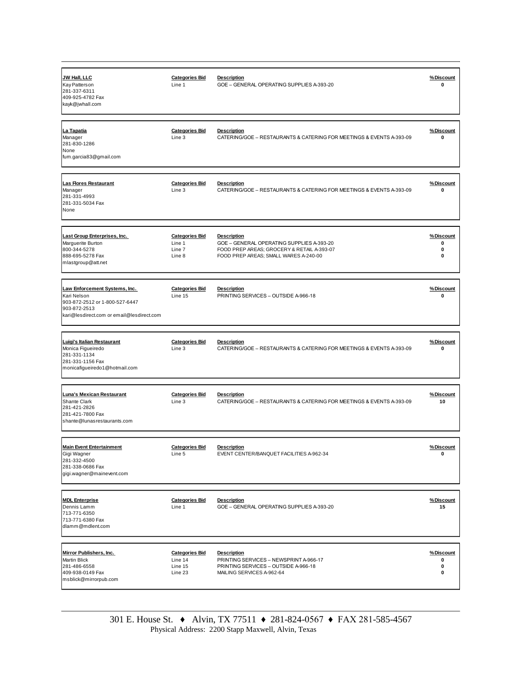| <b>JW Hall, LLC</b><br>Kay Patterson<br>281-337-6311<br>409-925-4782 Fax<br>kayk@jwhall.com                                                 | <b>Categories Bid</b><br>Line 1                     | <b>Description</b><br>GOE - GENERAL OPERATING SUPPLIES A-393-20                                                                                        | %Discount<br>0           |
|---------------------------------------------------------------------------------------------------------------------------------------------|-----------------------------------------------------|--------------------------------------------------------------------------------------------------------------------------------------------------------|--------------------------|
| La Tapatia<br>Manager<br>281-830-1286<br>None<br>fum.garcia83@gmail.com                                                                     | <b>Categories Bid</b><br>Line 3                     | <b>Description</b><br>CATERING/GOE - RESTAURANTS & CATERING FOR MEETINGS & EVENTS A-393-09                                                             | %Discount<br>0           |
| <b>Las Flores Restaurant</b><br>Manager<br>281-331-4993<br>281-331-5034 Fax<br>None                                                         | <b>Categories Bid</b><br>Line 3                     | <b>Description</b><br>CATERING/GOE - RESTAURANTS & CATERING FOR MEETINGS & EVENTS A-393-09                                                             | %Discount<br>0           |
| Last Group Enterprises, Inc.<br>Marguerite Burton<br>800-344-5278<br>888-695-5278 Fax<br>mlastgroup@att.net                                 | <b>Categories Bid</b><br>Line 1<br>Line 7<br>Line 8 | <b>Description</b><br>GOE - GENERAL OPERATING SUPPLIES A-393-20<br>FOOD PREP AREAS; GROCERY & RETAIL A-393-07<br>FOOD PREP AREAS; SMALL WARES A-240-00 | %Discount<br>0<br>0<br>0 |
| Law Enforcement Systems. Inc.<br>Kari Nelson<br>903-872-2512 or 1-800-527-6447<br>903-872-2513<br>kari@lesdirect.com or email@lesdirect.com | <b>Categories Bid</b><br>Line 15                    | <b>Description</b><br>PRINTING SERVICES - OUTSIDE A-966-18                                                                                             | %Discount<br>0           |
|                                                                                                                                             |                                                     |                                                                                                                                                        |                          |
| Luigi's Italian Restaurant<br>Monica Figueiredo<br>281-331-1134<br>281-331-1156 Fax<br>monicafigueiredo1@hotmail.com                        | <b>Categories Bid</b><br>Line 3                     | <b>Description</b><br>CATERING/GOE - RESTAURANTS & CATERING FOR MEETINGS & EVENTS A-393-09                                                             | %Discount<br>0           |
| <b>Luna's Mexican Restaurant</b><br>Shante Clark<br>281-421-2826<br>281-421-7800 Fax<br>shante@lunasrestaurants.com                         | <b>Categories Bid</b><br>Line 3                     | <b>Description</b><br>CATERING/GOE - RESTAURANTS & CATERING FOR MEETINGS & EVENTS A-393-09                                                             | %Discount<br>10          |
| <b>Main Event Entertainment</b><br>Gigi Wagner<br>281-332-4500<br>281-338-0686 Fax<br>gigi.wagner@mainevent.com                             | <b>Categories Bid</b><br>Line 5                     | <b>Description</b><br>EVENT CENTER/BANQUET FACILITIES A-962-34                                                                                         | % Discount<br>0          |
| <b>MDL Enterprise</b><br>Dennis Lamm<br>713-771-6350<br>713-771-6380 Fax<br>dlamm@mdlent.com                                                | <b>Categories Bid</b><br>Line 1                     | <b>Description</b><br>GOE - GENERAL OPERATING SUPPLIES A-393-20                                                                                        | <u>%Discount</u><br>15   |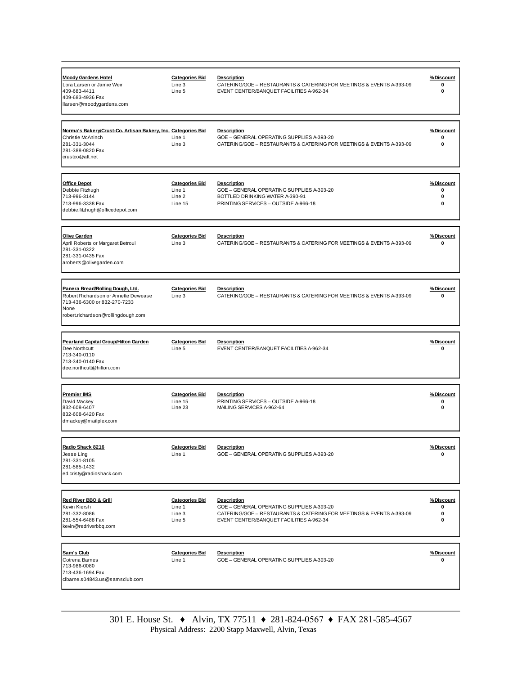| <b>Moody Gardens Hotel</b><br>Lora Larsen or Jamie Weir<br>409-683-4411<br>409-683-4936 Fax<br>llarsen@moodygardens.com                                | <b>Categories Bid</b><br>Line 3<br>Line 5            | <b>Description</b><br>CATERING/GOE - RESTAURANTS & CATERING FOR MEETINGS & EVENTS A-393-09<br>EVENT CENTER/BANQUET FACILITIES A-962-34                                              | %Discount<br>0<br>0      |
|--------------------------------------------------------------------------------------------------------------------------------------------------------|------------------------------------------------------|-------------------------------------------------------------------------------------------------------------------------------------------------------------------------------------|--------------------------|
| Norma's Bakery/Crust-Co. Artisan Bakery, Inc. Categories Bid<br>Christie McAninch<br>281-331-3044<br>281-388-0820 Fax<br>crustco@att.net               | Line 1<br>Line 3                                     | <b>Description</b><br>GOE - GENERAL OPERATING SUPPLIES A-393-20<br>CATERING/GOE - RESTAURANTS & CATERING FOR MEETINGS & EVENTS A-393-09                                             | %Discount<br>0<br>0      |
| <b>Office Depot</b><br>Debbie Fitzhugh<br>713-996-3144<br>713-996-3338 Fax<br>debbie.fitzhugh@officedepot.com                                          | <b>Categories Bid</b><br>Line 1<br>Line 2<br>Line 15 | <b>Description</b><br>GOE - GENERAL OPERATING SUPPLIES A-393-20<br>BOTTLED DRINKING WATER A-390-91<br>PRINTING SERVICES - OUTSIDE A-966-18                                          | %Discount<br>0<br>0<br>0 |
| <b>Olive Garden</b><br>April Roberts or Margaret Betroui<br>281-331-0322<br>281-331-0435 Fax<br>aroberts@olivegarden.com                               | <b>Categories Bid</b><br>Line 3                      | <b>Description</b><br>CATERING/GOE - RESTAURANTS & CATERING FOR MEETINGS & EVENTS A-393-09                                                                                          | %Discount<br>0           |
| Panera Bread/Rolling Dough, Ltd.<br>Robert Richardson or Annette Dewease<br>713-436-6300 or 832-270-7233<br>None<br>robert.richardson@rollingdough.com | <b>Categories Bid</b><br>Line 3                      | <b>Description</b><br>CATERING/GOE - RESTAURANTS & CATERING FOR MEETINGS & EVENTS A-393-09                                                                                          | %Discount<br>0           |
| <b>Pearland Capital Group/Hilton Garden</b><br>Dee Northcutt<br>713-340-0110<br>713-340-0140 Fax<br>dee.northcutt@hilton.com                           | <b>Categories Bid</b><br>Line 5                      | <b>Description</b><br>EVENT CENTER/BANQUET FACILITIES A-962-34                                                                                                                      | %Discount<br>0           |
| <b>Premier IMS</b><br>David Mackey<br>832-608-6407<br>832-608-6420 Fax<br>dmackey@mailplex.com                                                         | <b>Categories Bid</b><br>Line 15<br>Line 23          | <b>Description</b><br>PRINTING SERVICES - OUTSIDE A-966-18<br>MAILING SERVICES A-962-64                                                                                             | %Discount<br>0<br>0      |
| Radio Shack 8216<br>Jesse Ling<br>281-331-8105<br>281-585-1432<br>ed.cristy@radioshack.com                                                             | <b>Categories Bid</b><br>Line 1                      | <b>Description</b><br>GOE - GENERAL OPERATING SUPPLIES A-393-20                                                                                                                     | %Discount<br>0           |
| <b>Red River BBQ &amp; Grill</b><br>Kevin Kiersh<br>281-332-8086<br>281-554-6488 Fax<br>kevin@redriverbbq.com                                          | <b>Categories Bid</b><br>Line 1<br>Line 3<br>Line 5  | <b>Description</b><br>GOE - GENERAL OPERATING SUPPLIES A-393-20<br>CATERING/GOE - RESTAURANTS & CATERING FOR MEETINGS & EVENTS A-393-09<br>EVENT CENTER/BANQUET FACILITIES A-962-34 | %Discount<br>0<br>0<br>0 |
| Sam's Club<br>Cotrena Barnes<br>713-986-0080<br>713-436-1694 Fax<br>clbarne.s04843.us@samsclub.com                                                     | <b>Categories Bid</b><br>Line 1                      | <b>Description</b><br>GOE - GENERAL OPERATING SUPPLIES A-393-20                                                                                                                     | %Discount<br>0           |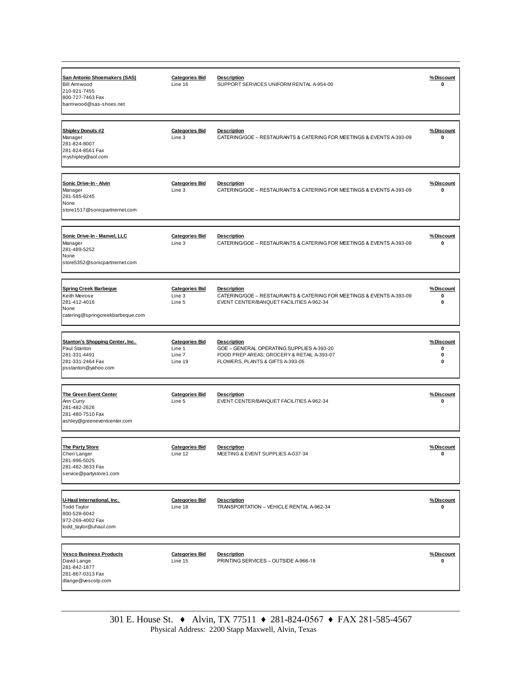| <b>San Antonio Shoemakers (SAS)</b><br><b>Bill Armwood</b><br>210-921-7455<br>800-727-7463 Fax<br>barmwood@sas-shoes.net | <b>Categories Bid</b><br>Line 16                     | <b>Description</b><br>SUPPORT SERVICES UNIFORM RENTAL A-954-00                                                                                    | %Discount<br>0           |
|--------------------------------------------------------------------------------------------------------------------------|------------------------------------------------------|---------------------------------------------------------------------------------------------------------------------------------------------------|--------------------------|
| <b>Shipley Donuts #2</b><br>Manager<br>281-824-8007<br>281-824-8561 Fax<br>myshipley@aol.com                             | <b>Categories Bid</b><br>Line 3                      | <b>Description</b><br>CATERING/GOE - RESTAURANTS & CATERING FOR MEETINGS & EVENTS A-393-09                                                        | %Discount<br>0           |
| Sonic Drive-In - Alvin<br>Manager<br>281-585-8245<br>None<br>store1517@sonicpartnernet.com                               | <b>Categories Bid</b><br>Line 3                      | <b>Description</b><br>CATERING/GOE - RESTAURANTS & CATERING FOR MEETINGS & EVENTS A-393-09                                                        | %Discount<br>0           |
| Sonic Drive-In - Manvel, LLC<br>Manager<br>281-489-5252<br>None<br>store5352@sonicpartnernet.com                         | <b>Categories Bid</b><br>Line 3                      | <b>Description</b><br>CATERING/GOE - RESTAURANTS & CATERING FOR MEETINGS & EVENTS A-393-09                                                        | %Discount<br>0           |
| Spring Creek Barbeque<br>Keith Meirose<br>281-412-4016<br>None<br>catering@springcreekbarbeque.com                       | <b>Categories Bid</b><br>Line 3<br>Line 5            | <b>Description</b><br>CATERING/GOE - RESTAURANTS & CATERING FOR MEETINGS & EVENTS A-393-09<br>EVENT CENTER/BANQUET FACILITIES A-962-34            | %Discount<br>0<br>0      |
|                                                                                                                          |                                                      |                                                                                                                                                   |                          |
| <b>Stanton's Shopping Center, Inc.</b><br>Paul Stanton<br>281-331-4491<br>281-331-2464 Fax<br>psstanton@yahoo.com        | <b>Categories Bid</b><br>Line 1<br>Line 7<br>Line 19 | <b>Description</b><br>GOE - GENERAL OPERATING SUPPLIES A-393-20<br>FOOD PREP AREAS; GROCERY & RETAIL A-393-07<br>FLOWERS, PLANTS & GIFTS A-393-05 | %Discount<br>0<br>0<br>0 |
| The Green Event Center<br>Ann Curry<br>281-482-2626<br>281-480-7510 Fax<br>ashley@greeneventcenter.com                   | <b>Categories Bid</b><br>Line 5                      | <b>Description</b><br>EVENT CENTER/BANQUET FACILITIES A-962-34                                                                                    | %Discount<br>0           |
| <b>The Party Store</b><br>Cheri Langer<br>281-996-5025<br>281-482-3633 Fax<br>service@partystore1.com                    | <b>Categories Bid</b><br>Line 12                     | <b>Description</b><br>MEETING & EVENT SUPPLIES A-037-34                                                                                           | %Discount<br>0           |
| U-Haul International, Inc.<br><b>Todd Taylor</b><br>800-528-6042<br>972-269-4002 Fax<br>todd_taylor@uhaul.com            | <b>Categories Bid</b><br>Line 18                     | <b>Description</b><br>TRANSPORTATION - VEHICLE RENTAL A-962-34                                                                                    | %Discount<br>0           |